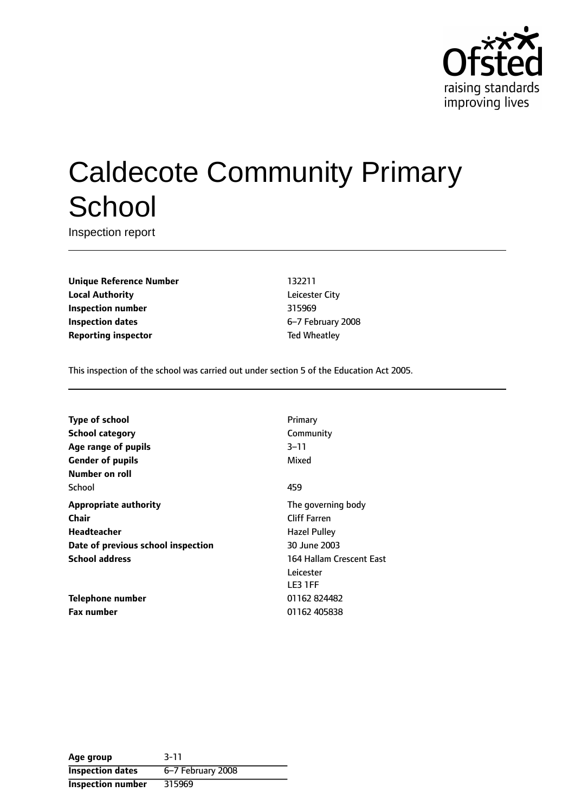

# Caldecote Community Primary **School**

Inspection report

**Unique Reference Number** 132211 **Local Authority** Leicester City **Inspection number** 315969 **Inspection dates** 6-7 February 2008 **Reporting inspector** Ted Wheatley

This inspection of the school was carried out under section 5 of the Education Act 2005.

**Type of school** Primary **School category** Community **Age** range of pupils 3-11 **Gender of pupils** Mixed **Number on roll** School 459 **Appropriate authority** The governing body **Chair** Chair Chair Chair Cliff Farren **Headteacher Hazel Pulley Date of previous school inspection** 30 June 2003 **School address** 164 Hallam Crescent East

**Telephone number** 01162 824482 **Fax number** 01162 405838

Leicester LE3 1FF

| Age group                | $3 - 11$          |
|--------------------------|-------------------|
| <b>Inspection dates</b>  | 6-7 February 2008 |
| <b>Inspection number</b> | 315969            |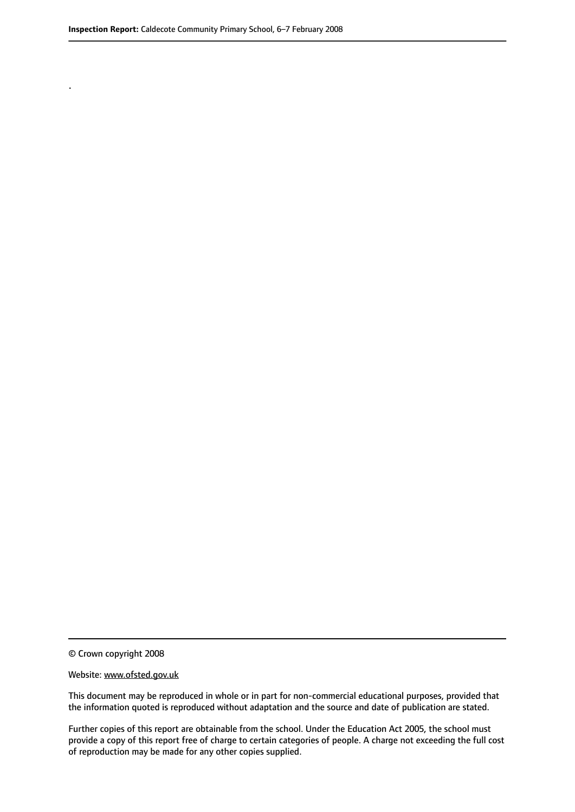.

© Crown copyright 2008

#### Website: www.ofsted.gov.uk

This document may be reproduced in whole or in part for non-commercial educational purposes, provided that the information quoted is reproduced without adaptation and the source and date of publication are stated.

Further copies of this report are obtainable from the school. Under the Education Act 2005, the school must provide a copy of this report free of charge to certain categories of people. A charge not exceeding the full cost of reproduction may be made for any other copies supplied.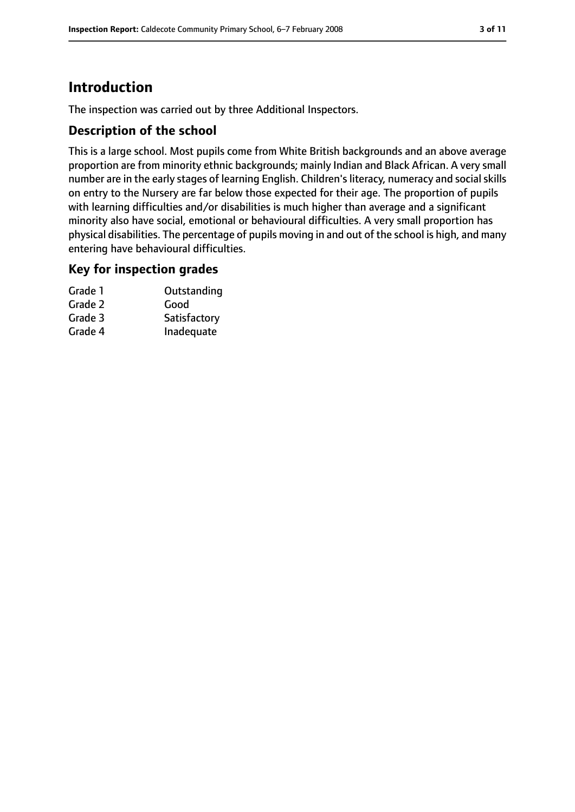# **Introduction**

The inspection was carried out by three Additional Inspectors.

## **Description of the school**

This is a large school. Most pupils come from White British backgrounds and an above average proportion are from minority ethnic backgrounds; mainly Indian and Black African. A very small number are in the early stages of learning English. Children's literacy, numeracy and social skills on entry to the Nursery are far below those expected for their age. The proportion of pupils with learning difficulties and/or disabilities is much higher than average and a significant minority also have social, emotional or behavioural difficulties. A very small proportion has physical disabilities. The percentage of pupils moving in and out of the school is high, and many entering have behavioural difficulties.

## **Key for inspection grades**

| Grade 1 | Outstanding  |
|---------|--------------|
| Grade 2 | Good         |
| Grade 3 | Satisfactory |
| Grade 4 | Inadequate   |
|         |              |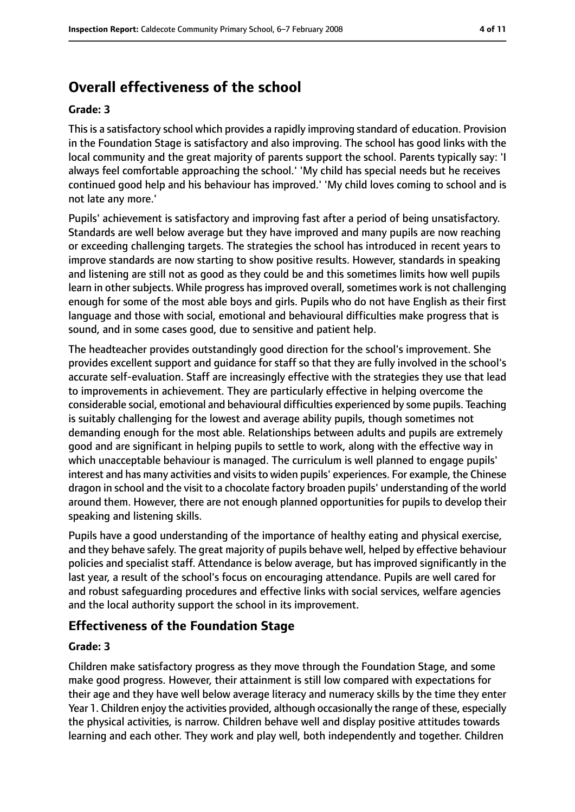# **Overall effectiveness of the school**

#### **Grade: 3**

This is a satisfactory school which provides a rapidly improving standard of education. Provision in the Foundation Stage is satisfactory and also improving. The school has good links with the local community and the great majority of parents support the school. Parents typically say: 'I always feel comfortable approaching the school.' 'My child has special needs but he receives continued good help and his behaviour has improved.' 'My child loves coming to school and is not late any more.'

Pupils' achievement is satisfactory and improving fast after a period of being unsatisfactory. Standards are well below average but they have improved and many pupils are now reaching or exceeding challenging targets. The strategies the school has introduced in recent years to improve standards are now starting to show positive results. However, standards in speaking and listening are still not as good as they could be and this sometimes limits how well pupils learn in other subjects. While progress has improved overall, sometimes work is not challenging enough for some of the most able boys and girls. Pupils who do not have English as their first language and those with social, emotional and behavioural difficulties make progress that is sound, and in some cases good, due to sensitive and patient help.

The headteacher provides outstandingly good direction for the school's improvement. She provides excellent support and guidance for staff so that they are fully involved in the school's accurate self-evaluation. Staff are increasingly effective with the strategies they use that lead to improvements in achievement. They are particularly effective in helping overcome the considerable social, emotional and behavioural difficulties experienced by some pupils. Teaching is suitably challenging for the lowest and average ability pupils, though sometimes not demanding enough for the most able. Relationships between adults and pupils are extremely good and are significant in helping pupils to settle to work, along with the effective way in which unacceptable behaviour is managed. The curriculum is well planned to engage pupils' interest and has many activities and visits to widen pupils' experiences. For example, the Chinese dragon in school and the visit to a chocolate factory broaden pupils' understanding of the world around them. However, there are not enough planned opportunities for pupils to develop their speaking and listening skills.

Pupils have a good understanding of the importance of healthy eating and physical exercise, and they behave safely. The great majority of pupils behave well, helped by effective behaviour policies and specialist staff. Attendance is below average, but has improved significantly in the last year, a result of the school's focus on encouraging attendance. Pupils are well cared for and robust safeguarding procedures and effective links with social services, welfare agencies and the local authority support the school in its improvement.

## **Effectiveness of the Foundation Stage**

#### **Grade: 3**

Children make satisfactory progress as they move through the Foundation Stage, and some make good progress. However, their attainment is still low compared with expectations for their age and they have well below average literacy and numeracy skills by the time they enter Year 1. Children enjoy the activities provided, although occasionally the range of these, especially the physical activities, is narrow. Children behave well and display positive attitudes towards learning and each other. They work and play well, both independently and together. Children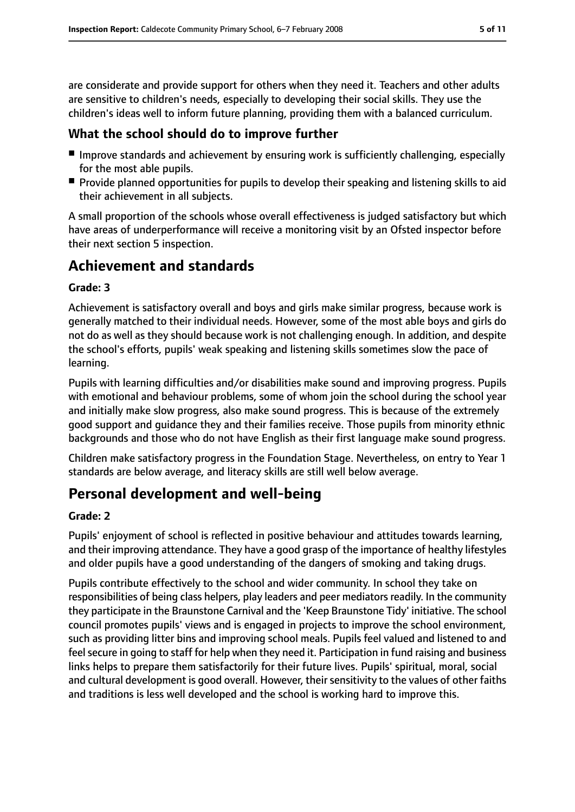are considerate and provide support for others when they need it. Teachers and other adults are sensitive to children's needs, especially to developing their social skills. They use the children's ideas well to inform future planning, providing them with a balanced curriculum.

## **What the school should do to improve further**

- Improve standards and achievement by ensuring work is sufficiently challenging, especially for the most able pupils.
- Provide planned opportunities for pupils to develop their speaking and listening skills to aid their achievement in all subjects.

A small proportion of the schools whose overall effectiveness is judged satisfactory but which have areas of underperformance will receive a monitoring visit by an Ofsted inspector before their next section 5 inspection.

# **Achievement and standards**

#### **Grade: 3**

Achievement is satisfactory overall and boys and girls make similar progress, because work is generally matched to their individual needs. However, some of the most able boys and girls do not do as well as they should because work is not challenging enough. In addition, and despite the school's efforts, pupils' weak speaking and listening skills sometimes slow the pace of learning.

Pupils with learning difficulties and/or disabilities make sound and improving progress. Pupils with emotional and behaviour problems, some of whom join the school during the school year and initially make slow progress, also make sound progress. This is because of the extremely good support and guidance they and their families receive. Those pupils from minority ethnic backgrounds and those who do not have English as their first language make sound progress.

Children make satisfactory progress in the Foundation Stage. Nevertheless, on entry to Year 1 standards are below average, and literacy skills are still well below average.

# **Personal development and well-being**

#### **Grade: 2**

Pupils' enjoyment of school is reflected in positive behaviour and attitudes towards learning, and their improving attendance. They have a good grasp of the importance of healthy lifestyles and older pupils have a good understanding of the dangers of smoking and taking drugs.

Pupils contribute effectively to the school and wider community. In school they take on responsibilities of being class helpers, play leaders and peer mediators readily. In the community they participate in the Braunstone Carnival and the 'Keep Braunstone Tidy' initiative. The school council promotes pupils' views and is engaged in projects to improve the school environment, such as providing litter bins and improving school meals. Pupils feel valued and listened to and feel secure in going to staff for help when they need it. Participation in fund raising and business links helps to prepare them satisfactorily for their future lives. Pupils' spiritual, moral, social and cultural development is good overall. However, their sensitivity to the values of other faiths and traditions is less well developed and the school is working hard to improve this.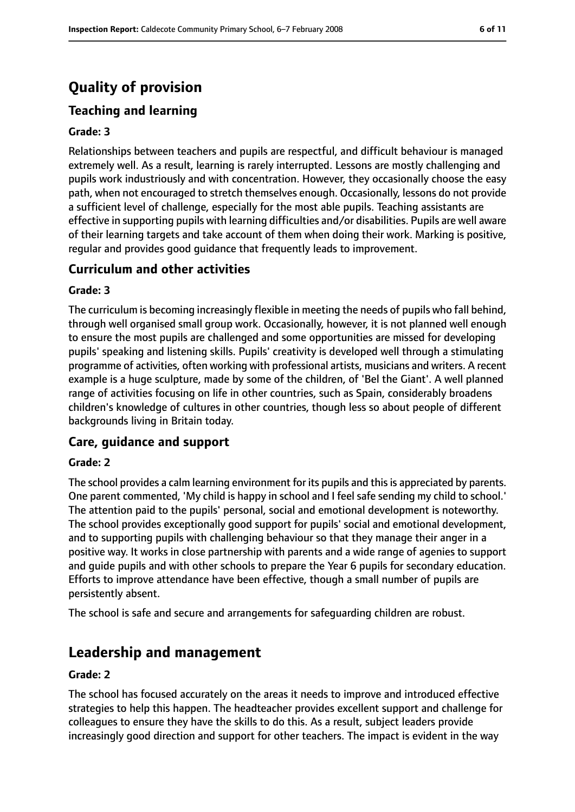# **Quality of provision**

# **Teaching and learning**

#### **Grade: 3**

Relationships between teachers and pupils are respectful, and difficult behaviour is managed extremely well. As a result, learning is rarely interrupted. Lessons are mostly challenging and pupils work industriously and with concentration. However, they occasionally choose the easy path, when not encouraged to stretch themselves enough. Occasionally, lessons do not provide a sufficient level of challenge, especially for the most able pupils. Teaching assistants are effective in supporting pupils with learning difficulties and/or disabilities. Pupils are well aware of their learning targets and take account of them when doing their work. Marking is positive, regular and provides good guidance that frequently leads to improvement.

#### **Curriculum and other activities**

#### **Grade: 3**

The curriculum is becoming increasingly flexible in meeting the needs of pupils who fall behind, through well organised small group work. Occasionally, however, it is not planned well enough to ensure the most pupils are challenged and some opportunities are missed for developing pupils' speaking and listening skills. Pupils' creativity is developed well through a stimulating programme of activities, often working with professional artists, musicians and writers. A recent example is a huge sculpture, made by some of the children, of 'Bel the Giant'. A well planned range of activities focusing on life in other countries, such as Spain, considerably broadens children's knowledge of cultures in other countries, though less so about people of different backgrounds living in Britain today.

#### **Care, guidance and support**

#### **Grade: 2**

The school provides a calm learning environment for its pupils and this is appreciated by parents. One parent commented, 'My child is happy in school and I feel safe sending my child to school.' The attention paid to the pupils' personal, social and emotional development is noteworthy. The school provides exceptionally good support for pupils' social and emotional development, and to supporting pupils with challenging behaviour so that they manage their anger in a positive way. It works in close partnership with parents and a wide range of agenies to support and guide pupils and with other schools to prepare the Year 6 pupils for secondary education. Efforts to improve attendance have been effective, though a small number of pupils are persistently absent.

The school is safe and secure and arrangements for safeguarding children are robust.

# **Leadership and management**

#### **Grade: 2**

The school has focused accurately on the areas it needs to improve and introduced effective strategies to help this happen. The headteacher provides excellent support and challenge for colleagues to ensure they have the skills to do this. As a result, subject leaders provide increasingly good direction and support for other teachers. The impact is evident in the way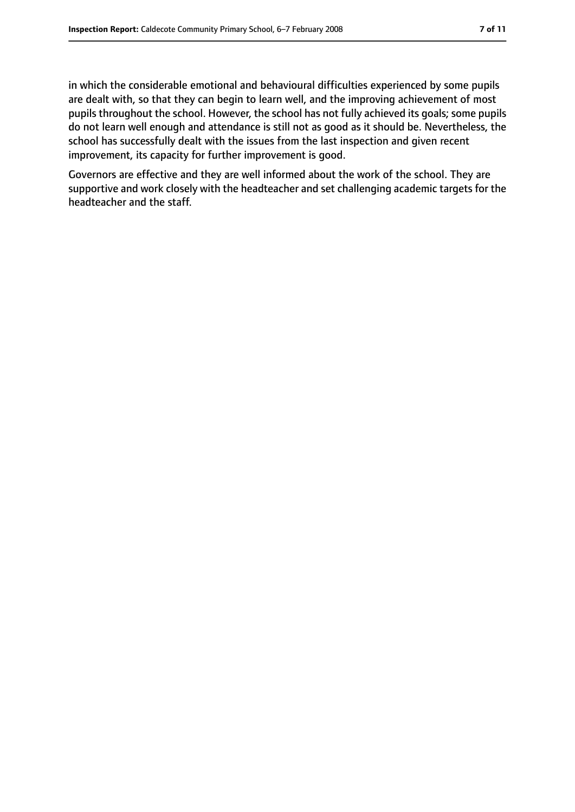in which the considerable emotional and behavioural difficulties experienced by some pupils are dealt with, so that they can begin to learn well, and the improving achievement of most pupils throughout the school. However, the school has not fully achieved its goals; some pupils do not learn well enough and attendance is still not as good as it should be. Nevertheless, the school has successfully dealt with the issues from the last inspection and given recent improvement, its capacity for further improvement is good.

Governors are effective and they are well informed about the work of the school. They are supportive and work closely with the headteacher and set challenging academic targets for the headteacher and the staff.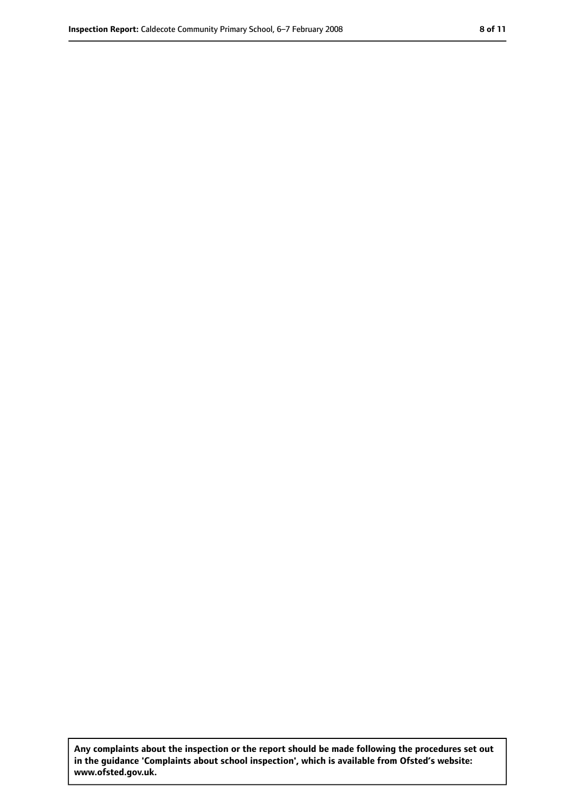**Any complaints about the inspection or the report should be made following the procedures set out in the guidance 'Complaints about school inspection', which is available from Ofsted's website: www.ofsted.gov.uk.**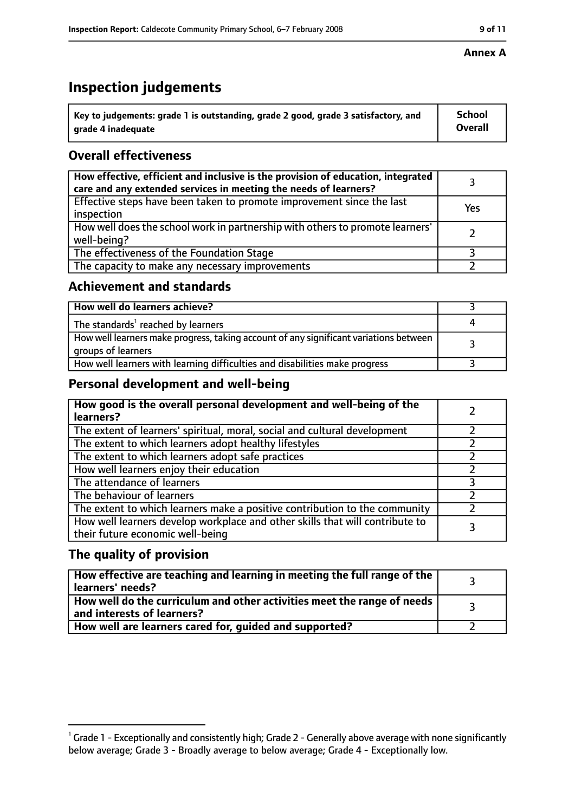# **Inspection judgements**

| $^{\backprime}$ Key to judgements: grade 1 is outstanding, grade 2 good, grade 3 satisfactory, and | <b>School</b>  |
|----------------------------------------------------------------------------------------------------|----------------|
| arade 4 inadeguate                                                                                 | <b>Overall</b> |

# **Overall effectiveness**

| How effective, efficient and inclusive is the provision of education, integrated<br>care and any extended services in meeting the needs of learners? |     |
|------------------------------------------------------------------------------------------------------------------------------------------------------|-----|
| Effective steps have been taken to promote improvement since the last<br>inspection                                                                  | Yes |
| How well does the school work in partnership with others to promote learners'<br>well-being?                                                         |     |
| The effectiveness of the Foundation Stage                                                                                                            |     |
| The capacity to make any necessary improvements                                                                                                      |     |

## **Achievement and standards**

| How well do learners achieve?                                                                               |  |
|-------------------------------------------------------------------------------------------------------------|--|
| The standards <sup>1</sup> reached by learners                                                              |  |
| How well learners make progress, taking account of any significant variations between<br>groups of learners |  |
| How well learners with learning difficulties and disabilities make progress                                 |  |

## **Personal development and well-being**

| How good is the overall personal development and well-being of the<br>learners?                                  |  |
|------------------------------------------------------------------------------------------------------------------|--|
| The extent of learners' spiritual, moral, social and cultural development                                        |  |
| The extent to which learners adopt healthy lifestyles                                                            |  |
| The extent to which learners adopt safe practices                                                                |  |
| How well learners enjoy their education                                                                          |  |
| The attendance of learners                                                                                       |  |
| The behaviour of learners                                                                                        |  |
| The extent to which learners make a positive contribution to the community                                       |  |
| How well learners develop workplace and other skills that will contribute to<br>their future economic well-being |  |

## **The quality of provision**

| How effective are teaching and learning in meeting the full range of the<br>learners' needs?          |  |
|-------------------------------------------------------------------------------------------------------|--|
| How well do the curriculum and other activities meet the range of needs<br>and interests of learners? |  |
| How well are learners cared for, guided and supported?                                                |  |

 $^1$  Grade 1 - Exceptionally and consistently high; Grade 2 - Generally above average with none significantly below average; Grade 3 - Broadly average to below average; Grade 4 - Exceptionally low.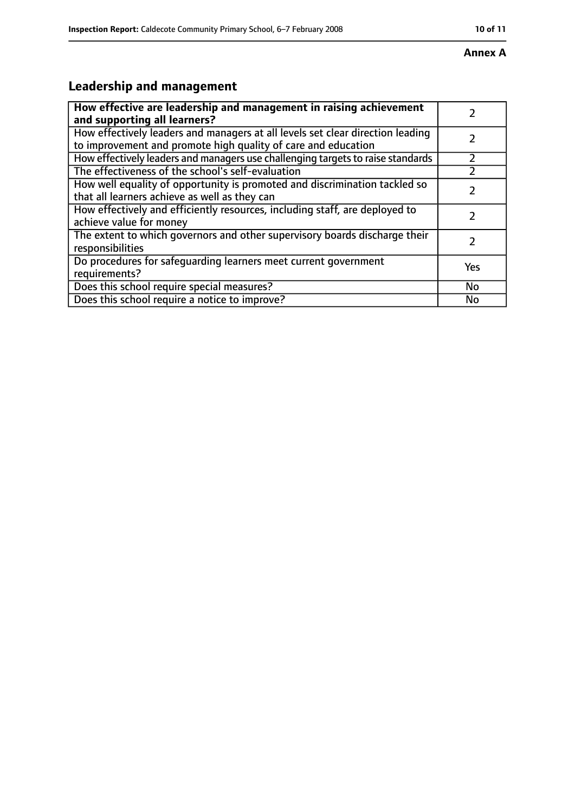#### **Annex A**

# **Leadership and management**

| How effective are leadership and management in raising achievement<br>and supporting all learners?                                              |     |
|-------------------------------------------------------------------------------------------------------------------------------------------------|-----|
| How effectively leaders and managers at all levels set clear direction leading<br>to improvement and promote high quality of care and education |     |
| How effectively leaders and managers use challenging targets to raise standards                                                                 |     |
| The effectiveness of the school's self-evaluation                                                                                               |     |
| How well equality of opportunity is promoted and discrimination tackled so<br>that all learners achieve as well as they can                     |     |
| How effectively and efficiently resources, including staff, are deployed to<br>achieve value for money                                          |     |
| The extent to which governors and other supervisory boards discharge their<br>responsibilities                                                  |     |
| Do procedures for safequarding learners meet current government<br>requirements?                                                                | Yes |
| Does this school require special measures?                                                                                                      | No  |
| Does this school require a notice to improve?                                                                                                   | No  |